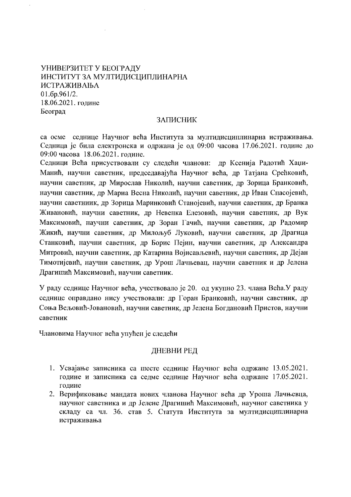# УНИВЕРЗИТЕТ У БЕОГРАДУ ИНСТИТУТ ЗА МУЛТИДИСЦИПЛИНАРНА **ИСТРАЖИВАЊА**  $01.6p.961/2.$ 18.06.2021. године Београд

#### **ЗАПИСНИК**

са осме седнице Научног већа Института за мултидисциплинарна истраживања. Седница је била електронска и одржана је од 09:00 часова 17.06.2021. године до 09:00 часова 18.06.2021. голине.

Седници Већа присуствовали су следећи чланови: др Ксенија Радотић Хаџи-Манић, научни саветник, председавајућа Научног већа, др Татјана Срећковић, научни саветник, др Мирослав Николић, научни саветник, др Зорица Бранковић, научни саветник, др Мариа Весна Николић, научни саветник, др Иван Спасојевић, научни саветниик, др Зорица Маринковић Станојевић, научни саветник, др Бранка Живановић, научни саветник, др Невенка Елезовић, научни саветник, др Вук Максимовић, научни саветник, др Зоран Гачић, научни саветник, др Радомир Жикић, научни саветник, др Милољуб Луковић, научни саветник, др Драгица Станковић, научни саветник, др Борис Пејин, научни саветник, др Александра Митровић, научни саветник, др Катарина Војисављевић, научни саветник, др Дејан Тимотијевић, научни саветник, др Урош Лачњевац, научни саветник и др Јелена Драгишић Максимовић, научни саветник.

У раду седнице Научног већа, учествовало је 20. од укупно 23. члана Већа. У раду седнице оправдано нису учествовали: др Горан Бранковић, научни саветник, др Соња Вељовић-Јовановић, научни саветник, др Јелена Богдановић Пристов, научни саветник

Члановима Научног већа упућен је следећи

### ДНЕВНИ РЕД

- 1. Усвајање записника са шесте седнице Научног већа одржане 13.05.2021. године и записника са седме седнице Научног већа одржане 17.05.2021. године
- 2. Верификовање мандата нових чланова Научног већа др Уроша Лачњевца, научног саветника и др Јелене Драгишић Максимовић, научног саветника у складу са чл. 36. став 5. Статута Института за мултидисциплинарна истраживања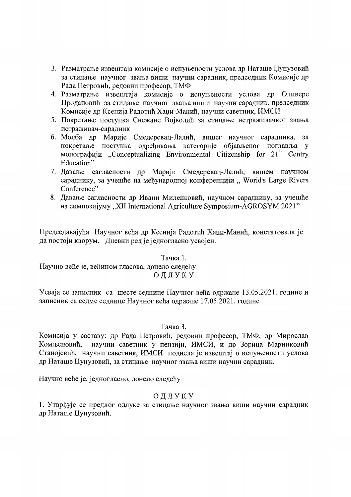- 3. Разматрање извештаја комисије о испуњености услова др Наташе Џунузовић за стицање научног звања виши научни сарадник, председник Комисије др Рада Петровић, редовни професор, ТМФ
- 4. Разматрање извештаја комисије о испуњености услова др Оливере Продановић за стицање научног звања виши научни сарадник, председник Комисије др Ксенија Радотић Хаџи-Манић, научни саветник, ИМСИ
- 5. Покретање поступка Снежане Војводић за стицање истраживачког звања истраживач-сарадник
- 6. Молба др Марије Смедеревац-Лалић, вишег научног сарадника,  $3a$ покретање поступка одређивања категорије објављеног поглавља у монографији "Conceptualizing Environmental Citizenship for  $21<sup>st</sup>$  Centry Education"
- 7. Давање сагласности др Марији Смедеревац-Лалић, вишем научном сараднику, за учешће на међународној конференцији "World's Large Rivers Conference"
- 8. Давање сагласности др Ивани Миленковић, научном сараднику, за учешће на симпозијуму "XII International Agriculture Symposium-AGROSYM 2021"

Председавајућа Научног већа др Ксенија Радотић Хаџи-Манић, констатовала је да постоји кворум. Дневни ред је једногласно усвојен.

Тачка 1.

Научно веће је, већином гласова, донело следећу ОДЛУКУ

Усваја се записник са шесте седнице Научног већа одржане 13.05.2021. године и записник са седме седнице Научног већа одржане 17.05.2021. године

# Тачка 3.

Комисија у саставу: др Рада Петровић, редовни професор, ТМФ, др Мирослав научни саветник у пензији, ИМСИ, и др Зорица Маринковић Комљеновић, Станојевић, научни саветник, ИМСИ поднела је извештај о испуњености услова др Наташе Џунузовић, за стицање научног звања виши научни сарадник.

Научно веће је, једногласно, донело следећу

# ОДЛУКУ

1. Утврђује се предлог одлуке за стицање научног звања виши научни сарадник др Наташе Џунузовић.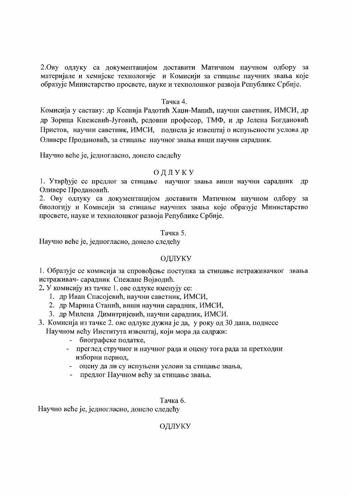2. Ову одлуку са документацијом доставити Матичном научном одбору за материјале и хемијске технологије и Комисији за стицање научних звања које образује Министарство просвете, науке и технолошког развоја Републике Србије.

## Тачка 4.

Комисија у саставу: др Ксенија Радотић Хаџи-Манић, научни саветник, ИМСИ, др др Зорица Кнежевић-Југовић, редовни професор, ТМФ, и др Јелена Богдановић Пристов, научни саветник, ИМСИ, поднела је извештај о испуњености услова др Оливере Продановић, за стицање научног звања виши научни сарадник.

Научно веће је, једногласно, донело следећу

# ОЛЛУКУ

1. Утврђује се предлог за стицање научног звања виши научни сарадник др Оливере Продановић.

2. Ову одлуку са документацијом доставити Матичном научном одбору за биологију и Комисији за стицање научних звања које образује Министарство просвете, науке и технолошког развоја Републике Србије.

## Тачка 5.

Научно веће је, једногласно, донело следећу

# ОДЛУКУ

1. Образује се комисија за спровођење поступка за стицање истраживачког звања истраживач- сарадник Снежане Војводић.

2. У комисију из тачке 1. ове одлуке именују се:

- 1. др Иван Спасојевић, научни саветник, ИМСИ,
- 2. др Марина Станић, виши научни сарадник, ИМСИ,
- 3. др Милена Димитријевић, научни сарадник, ИМСИ.
- 3. Комисија из тачке 2. ове одлуке дужна је да, у року од 30 дана, поднесе Научном већу Института извештај, који мора да садржи:
	- биографске податке,
	- преглед стручног и научног рада и оцену тога рада за претходни изборни период,
	- оцену да ли су испуњени услови за стицање звања,
	- предлог Научном већу за стицање звања.

Тачка 6.

Научно веће је, једногласно, донело следећу

ОДЛУКУ